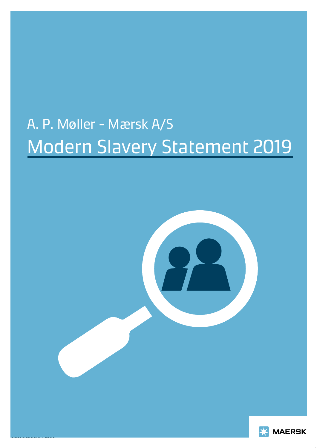# A. P. Møller - Mærsk A/S Modern Slavery Statement 2019



Classification: Public

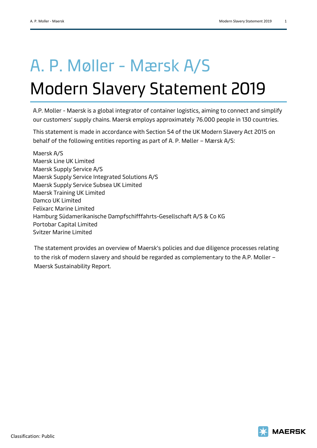## A. P. Møller - Mærsk A/S Modern Slavery Statement 2019

A.P. Moller - Maersk is a global integrator of container logistics, aiming to connect and simplify our customers' supply chains. Maersk employs approximately 76.000 people in 130 countries.

This statement is made in accordance with Section 54 of the UK Modern Slavery Act 2015 on behalf of the following entities reporting as part of A. P. Møller – Mærsk A/S:

Maersk A/S Maersk Line UK Limited Maersk Supply Service A/S Maersk Supply Service Integrated Solutions A/S Maersk Supply Service Subsea UK Limited Maersk Training UK Limited Damco UK Limited Felixarc Marine Limited Hamburg Südamerikanische Dampfschifffahrts-Gesellschaft A/S & Co KG Portobar Capital Limited Svitzer Marine Limited

The statement provides an overview of Maersk's policies and due diligence processes relating to the risk of modern slavery and should be regarded as complementary to the A.P. Moller – Maersk Sustainability Report.

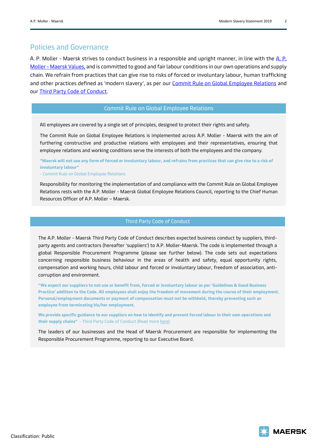#### Policies and Governance

A. P. Moller - Maersk strives to conduct business in a responsible and upright manner, in line with the [A.](https://www.maersk.com/about/core-values) P. Moller - [Maersk Values,](https://www.maersk.com/about/core-values) and is committed to good and fair labour conditions in our own operations and supply chain. We refrain from practices that can give rise to risks of forced or involuntary labour, human trafficking and other practices defined as 'modern slavery', as per our [Commit Rule on Global Employee Relations](https://www.maersk.com/about/sustainability/responsible-business-practices/global-employee-relations) and our [Third Party Code of Conduct.](https://www.maersk.com/business/sustainability/third-party-code-of-conduct)

#### Commit Rule on Global Employee Relations

All employees are covered by a single set of principles, designed to protect their rights and safety.

The Commit Rule on Global Employee Relations is implemented across A.P. Moller - Maersk with the aim of furthering constructive and productive relations with employees and their representatives, ensuring that employee relations and working conditions serve the interests of both the employees and the company.

**"Maersk will not use any form of forced or involuntary labour, and refrains from practices that can give rise to a risk of involuntary labour"** 

- Commit Rule on Global Employee Relations

Responsibility for monitoring the implementation of and compliance with the Commit Rule on Global Employee Relations rests with the A.P. Moller - Maersk Global Employee Relations Council, reporting to the Chief Human Resources Officer of A.P. Moller – Maersk.

#### Third Party Code of Conduct

The A.P. Moller - Maersk Third Party Code of Conduct describes expected business conduct by suppliers, thirdparty agents and contractors (hereafter 'suppliers') to A.P. Moller-Maersk. The code is implemented through a global Responsible Procurement Programme (please see further below). The code sets out expectations concerning responsible business behaviour in the areas of health and safety, equal opportunity rights, compensation and working hours, child labour and forced or involuntary labour, freedom of association, anticorruption and environment.

**"We expect our suppliers to not use or benefit from, forced or involuntary labour as per 'Guidelines & Good Business Practice' addition to the Code. All employees shall enjoy the freedom of movement during the course of their employment. Personal/employment documents or payment of compensation must not be withheld, thereby preventing such an employee from terminating his/her employment.**

**We provide specific guidance to our suppliers on how to identify and prevent forced labour in their own operations and their supply chains"** - Third Party Code of Conduct (Read mor[e here\)](https://www.maersk.com/business/procurement/responsible-procurement/labour-and-human-rights/forced-labour)

The leaders of our businesses and the Head of Maersk Procurement are responsible for implementing the Responsible Procurement Programme, reporting to our Executive Board.

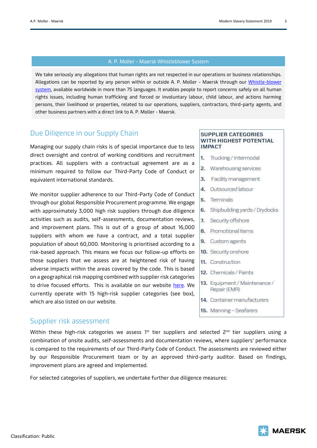#### A. P. Moller - Maersk Whistleblower System

We take seriously any allegations that human rights are not respected in our operations or business relationships. Allegations can be reported by any person within or outside A. P. Moller - Maersk through our Whistle-blower [system,](https://secure.ethicspoint.eu/domain/media/en/gui/102833/index.html) available worldwide in more than 75 languages. It enables people to report concerns safely on all human rights issues, including human trafficking and forced or involuntary labour, child labour, and actions harming persons, their livelihood or properties, related to our operations, suppliers, contractors, third-party agents, and other business partners with a direct link to A. P. Moller - Maersk.

### Due Diligence in our Supply Chain

Managing our supply chain risks is of special importance due to less direct oversight and control of working conditions and recruitment practices. All suppliers with a contractual agreement are as a minimum required to follow our Third-Party Code of Conduct or equivalent international standards.

We monitor supplier adherence to our Third-Party Code of Conduct through our global Responsible Procurement programme. We engage with approximately 3,000 high risk suppliers through due diligence activities such as audits, self-assessments, documentation reviews, and improvement plans. This is out of a group of about 16,000 suppliers with whom we have a contract, and a total supplier population of about 60,000. Monitoring is prioritised according to a risk-based approach. This means we focus our follow-up efforts on those suppliers that we assess are at heightened risk of having adverse impacts within the areas covered by the code. This is based on a geographical risk mapping combined with supplier risk categories to drive focused efforts. This is available on our website [here.](https://www.maersk.com/procurement/responsible-procurement) We currently operate with 15 high-risk supplier categories (see box), which are also listed on our website.

#### Supplier risk assessment

Within these high-risk categories we assess  $1^{st}$  tier suppliers and selected  $2^{nd}$  tier suppliers using a combination of onsite audits, self-assessments and documentation reviews, where suppliers' performance is compared to the requirements of our Third-Party Code of Conduct. The assessments are reviewed either by our Responsible Procurement team or by an approved third-party auditor. Based on findings, improvement plans are agreed and implemented.

For selected categories of suppliers, we undertake further due diligence measures:

#### **SUPPLIER CATEGORIES** WITH HIGHEST POTENTIAL **IMPACT**

- $1.$ Trucking / Intermodal
- 2. Warehousing services
- 3. Facility management
- 4. Outsourced labour
- 5. Terminals
- 6. Shipbuilding yards / Drydocks
- 7. Security offshore
- 8. Promotionalitems
- 9. Custom agents
- 10. Security onshore
- 11. Construction
- 12. Chemicals / Paints
- 13. Equipment / Maintenance / Repair (EMR)
- 14. Container manufacturers
- 15. Manning Seafarers

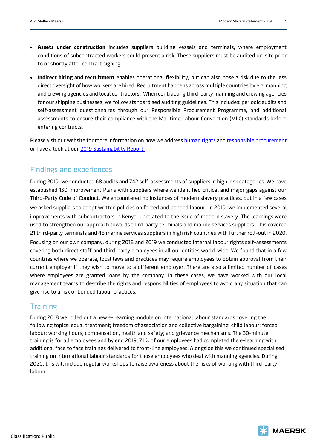- **Assets under construction** includes suppliers building vessels and terminals, where employment conditions of subcontracted workers could present a risk. These suppliers must be audited on-site prior to or shortly after contract signing.
- **Indirect hiring and recruitment** enables operational flexibility, but can also pose a risk due to the less direct oversight of how workers are hired. Recruitment happens across multiple countries by e.g. manning and crewing agencies and local contractors. When contracting third-party manning and crewing agencies for our shipping businesses, we follow standardised auditing guidelines. This includes: periodic audits and self-assessment questionnaires through our Responsible Procurement Programme, and additional assessments to ensure their compliance with the Maritime Labour Convention (MLC) standards before entering contracts.

Please visit our website for more information on how we address [human rights](https://www.maersk.com/business/sustainability/responsibility/human-rights) an[d responsible procurement](https://www.maersk.com/business/procurement/responsible-procurement) or have a look at our [2019 Sustainability Report.](https://www.maersk.com/business/sustainability/sustainability-reports-and-publications/reports)

## Findings and experiences

During 2019, we conducted 68 audits and 742 self-assessments of suppliers in high-risk categories. We have established 130 Improvement Plans with suppliers where we identified critical and major gaps against our Third-Party Code of Conduct. We encountered no instances of modern slavery practices, but in a few cases we asked suppliers to adopt written policies on forced and bonded labour. In 2019, we implemented several improvements with subcontractors in Kenya, unrelated to the issue of modern slavery. The learnings were used to strengthen our approach towards third-party terminals and marine services suppliers. This covered 21 third-party terminals and 48 marine services suppliers in high risk countries with further roll-out in 2020. Focusing on our own company, during 2018 and 2019 we conducted internal labour rights self-assessments covering both direct staff and third-party employees in all our entities world-wide. We found that in a few countries where we operate, local laws and practices may require employees to obtain approval from their current employer if they wish to move to a different employer. There are also a limited number of cases where employees are granted loans by the company. In these cases, we have worked with our local management teams to describe the rights and responsibilities of employees to avoid any situation that can give rise to a risk of bonded labour practices.

## **Training**

During 2018 we rolled out a new e-Learning module on international labour standards covering the following topics: equal treatment; freedom of association and collective bargaining; child labour; forced labour; working hours; compensation, health and safety; and grievance mechanisms. The 30-minute training is for all employees and by end 2019, 71 % of our employees had completed the e-learning with additional face to face trainings delivered to front-line employees. Alongside this we continued specialised training on international labour standards for those employees who deal with manning agencies. During 2020, this will include regular workshops to raise awareness about the risks of working with third-party labour.

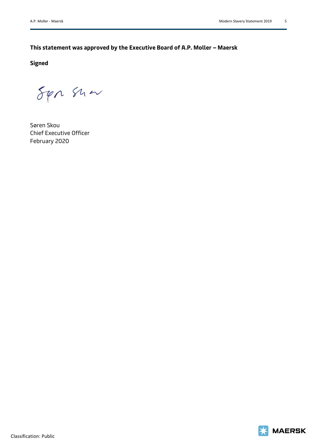### **This statement was approved by the Executive Board of A.P. Moller – Maersk**

**Signed**

 $54n$  Show

Søren Skou Chief Executive Officer February 2020